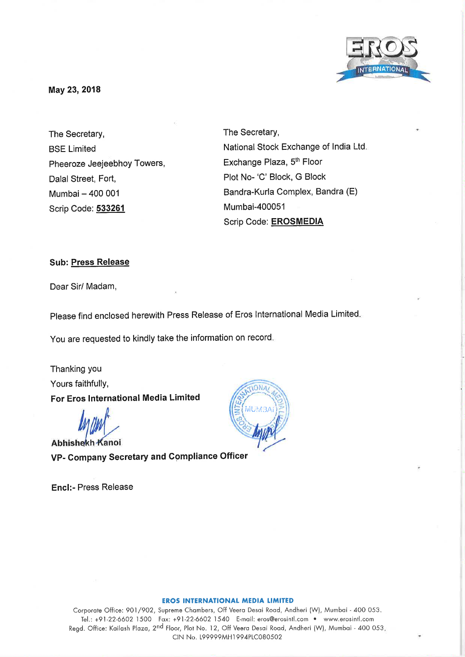

**May 23, 2018** 

The Secretary, BSE Limited Pheeroze Jeejeebhoy Towers, Dalal Street, Fort, Mumbai - 400 001 Scrip Code: **533261** 

The Secretary, National Stock Exchange of India Ltd. Exchange Plaza, 5<sup>th</sup> Floor Plot No- 'C' Block, G Block Bandra-Kurla Complex, Sandra (E) Mumbai-400051 Scrip Code: **EROSMEDIA** 

## **Sub: Press Release**

Dear Sir/ Madam,

Please find enclosed herewith Press Release of Eros International Media Limited.

You are requested to kindly take the information on record.

Thanking you Yours faithfully, **For Eros International Media Limited** 

Abhishekh Kanoi VP- Company Secretary and Compliance Officer

Encl:- Press Release



### **EROS INTERNATIONAL MEDIA LIMITED**

Corporate Office: 901/902, Supreme Chambers, Off Veera Desai Road, Andheri (W), Mumbai - <sup>400</sup>053. Tel.: +91-22-6602 1500 Fax: +91-22-6602 1540 E-mail: eros@erosintl.com • www.erosintl.com Regd. Office: Kailash Plaza, 2<sup>nd</sup> Floor, Plot No. 12, Off Veera Desai Road, Andheri (W), Mumbai - 400 053. CIN No. L99999MH1994PLC080502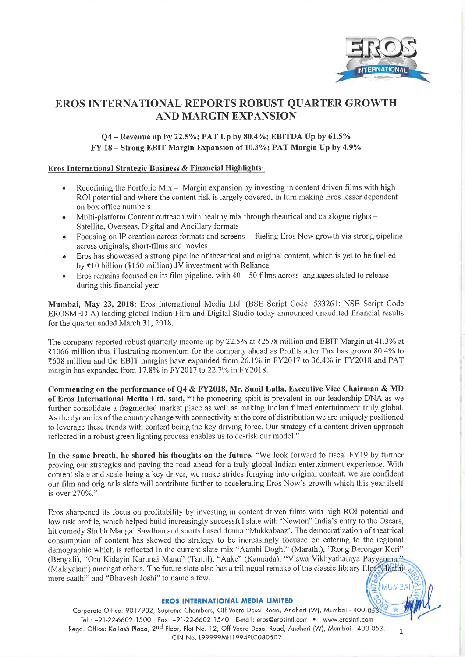

# **EROS INTERNATIONAL REPORTS ROBUST QUARTER GROWTH AND MARGIN EXPANSION**

# **Q4- Revenue up by 22.5%; PAT Up by 80.4%; EBITDA Up by 61.5% FY 18** - **Strong EBIT Margin Expansion of 10.3%; PAT Margin Up by 4.9%**

## **Eros International Strategic Business** & **Financial Highlights:**

- Redefining the Portfolio Mix  $-$  Margin expansion by investing in content driven films with high ROI potential and where the content risk is largely covered, in turn making Eros lesser dependent on box office numbers
- Multi-platform Content outreach with healthy mix through theatrical and catalogue rights Satellite, Overseas, Digital and Ancillary formats
- Focusing on IP creation across formats and screens fueling Eros Now growth via strong pipeline across originals, short-films and movies
- Eros has showcased a strong pipeline of theatrical and original content, which is yet to be fuelled by  $\bar{\tau}$ 10 billion (\$150 million) JV investment with Reliance
- Eros remains focused on its film pipeline, with  $40 50$  films across languages slated to release during this financial year

**Mumbai, May 23, 2018:** Eros International Media Ltd. (BSE Script Code: 533261; NSE Script Code EROSMEDIA) leading global Indian Film and Digital Studio today announced unaudited financial results for the quarter ended March 31, 2018.

The company reported robust quarterly income up by 22.5% at ₹2578 million and EBIT Margin at 41.3% at  $\overline{\epsilon}$ 1066 million thus illustrating momentum for the company ahead as Profits after Tax has grown 80.4% to ~608 million and the EBIT margins have expanded from 26.1% in FY2017 to 36.4% in FY2018 and PAT margin has expanded from 17.8% in FY2017 to 22.7% in FY2018.

**Commenting on the performance of Q4** & **FY2018, Mr. Sunil Lulla, Executive Vice Chairman** & **MD of Eros International Media Ltd. said,** "The pioneering spirit is prevalent in our leadership DNA as we further consolidate a fragmented market place as well as making Indian filmed entertainment truly global. As the dynamics of the country change with connectivity at the core of distribution we are uniquely positioned to leverage these trends with content being the key driving force. Our strategy of a content driven approach reflected in a robust green lighting process enables us to de-risk our model."

In the same breath, he shared his thoughts on the future, "We look forward to fiscal FY19 by further proving our strategies and paving the road ahead for a truly global Indian entertainment experience. With content slate and scale being a key driver, we make strides foraying into original content, we are confident our film and originals slate will contribute further to accelerating Eros Now's growth which this year itself is over 270%."

Eros sharpened its focus on profitability by investing in content-driven films with high ROI potential and low risk profile, which helped build increasingly successful slate with 'Newton" India's entry to the Oscars, hit comedy Shubh Mangal Savdhan and sports based drama "Mukkabaaz'. The democratization of theatrical consumption of content has skewed the strategy to be increasingly focused on catering to the regional demographic which is reflected in the current slate mix "Aamhi Doghi" (Marathi), "Rong Beronger Kori" (Bengali), "Oru Kidayin Karunai Manu" (Tamil), "Aake" (Kannada), "Viswa Vikhyatharaya Payyanmar" (Malayalam) amongst others. The future slate also has a trilingual remake of the classic library film Haathl<sup>2</sup> mere saathi" and "Bhavesh Joshi" to name a few.  $WUM3A$ 

## **EROS INTERNATIONAL MEDIA LIMITED**

Corporate Office: 901/902, Supreme Chambers, Off Veera Desai Road, Andheri (W), Mumbai - 400 053 Tel.: +91-22-6602 1500 Fox: +91 -22-6602 1540 E-mail: eros@erosintl.com • www.erosintl.com Regd. Office: Kailash Plaza, 2<sup>nd</sup> Floor, Plot No. 12, Off Veera Desai Road, Andheri (W), Mumbai - 400 053. 1 CIN No. L99999MH1994PLC080502